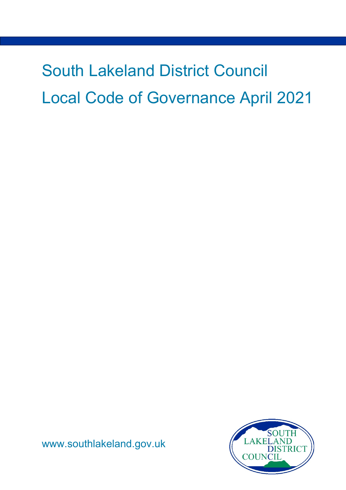# South Lakeland District Council Local Code of Governance April 2021



[www.southlakeland.gov.uk](http://www.southlakeland.gov.uk/)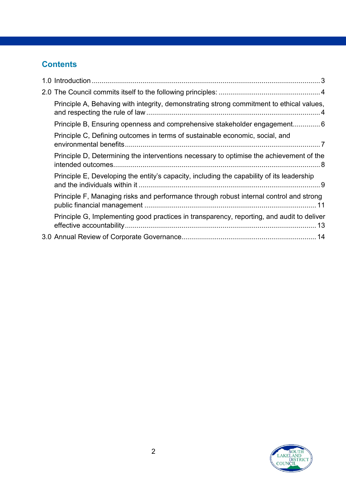#### **Contents**

| Principle A, Behaving with integrity, demonstrating strong commitment to ethical values,  |
|-------------------------------------------------------------------------------------------|
| Principle B, Ensuring openness and comprehensive stakeholder engagement6                  |
| Principle C, Defining outcomes in terms of sustainable economic, social, and              |
| Principle D, Determining the interventions necessary to optimise the achievement of the   |
| Principle E, Developing the entity's capacity, including the capability of its leadership |
| Principle F, Managing risks and performance through robust internal control and strong    |
| Principle G, Implementing good practices in transparency, reporting, and audit to deliver |
|                                                                                           |

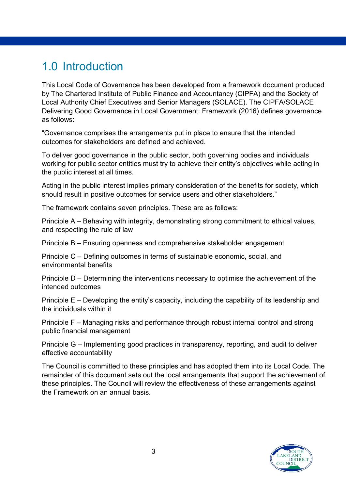# <span id="page-2-0"></span>1.0 Introduction

This Local Code of Governance has been developed from a framework document produced by The Chartered Institute of Public Finance and Accountancy (CIPFA) and the Society of Local Authority Chief Executives and Senior Managers (SOLACE). The CIPFA/SOLACE Delivering Good Governance in Local Government: Framework (2016) defines governance as follows:

"Governance comprises the arrangements put in place to ensure that the intended outcomes for stakeholders are defined and achieved.

To deliver good governance in the public sector, both governing bodies and individuals working for public sector entities must try to achieve their entity's objectives while acting in the public interest at all times.

Acting in the public interest implies primary consideration of the benefits for society, which should result in positive outcomes for service users and other stakeholders."

The framework contains seven principles. These are as follows:

Principle A – Behaving with integrity, demonstrating strong commitment to ethical values, and respecting the rule of law

Principle B – Ensuring openness and comprehensive stakeholder engagement

Principle C – Defining outcomes in terms of sustainable economic, social, and environmental benefits

Principle D – Determining the interventions necessary to optimise the achievement of the intended outcomes

Principle E – Developing the entity's capacity, including the capability of its leadership and the individuals within it

Principle F – Managing risks and performance through robust internal control and strong public financial management

Principle G – Implementing good practices in transparency, reporting, and audit to deliver effective accountability

The Council is committed to these principles and has adopted them into its Local Code. The remainder of this document sets out the local arrangements that support the achievement of these principles. The Council will review the effectiveness of these arrangements against the Framework on an annual basis.

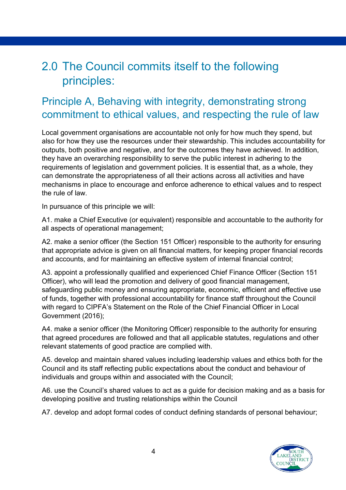# <span id="page-3-0"></span>2.0 The Council commits itself to the following principles:

# <span id="page-3-1"></span>Principle A, Behaving with integrity, demonstrating strong commitment to ethical values, and respecting the rule of law

Local government organisations are accountable not only for how much they spend, but also for how they use the resources under their stewardship. This includes accountability for outputs, both positive and negative, and for the outcomes they have achieved. In addition, they have an overarching responsibility to serve the public interest in adhering to the requirements of legislation and government policies. It is essential that, as a whole, they can demonstrate the appropriateness of all their actions across all activities and have mechanisms in place to encourage and enforce adherence to ethical values and to respect the rule of law.

In pursuance of this principle we will:

A1. make a Chief Executive (or equivalent) responsible and accountable to the authority for all aspects of operational management;

A2. make a senior officer (the Section 151 Officer) responsible to the authority for ensuring that appropriate advice is given on all financial matters, for keeping proper financial records and accounts, and for maintaining an effective system of internal financial control;

A3. appoint a professionally qualified and experienced Chief Finance Officer (Section 151 Officer), who will lead the promotion and delivery of good financial management, safeguarding public money and ensuring appropriate, economic, efficient and effective use of funds, together with professional accountability for finance staff throughout the Council with regard to CIPFA's Statement on the Role of the Chief Financial Officer in Local Government (2016);

A4. make a senior officer (the Monitoring Officer) responsible to the authority for ensuring that agreed procedures are followed and that all applicable statutes, regulations and other relevant statements of good practice are complied with.

A5. develop and maintain shared values including leadership values and ethics both for the Council and its staff reflecting public expectations about the conduct and behaviour of individuals and groups within and associated with the Council;

A6. use the Council's shared values to act as a guide for decision making and as a basis for developing positive and trusting relationships within the Council

A7. develop and adopt formal codes of conduct defining standards of personal behaviour;

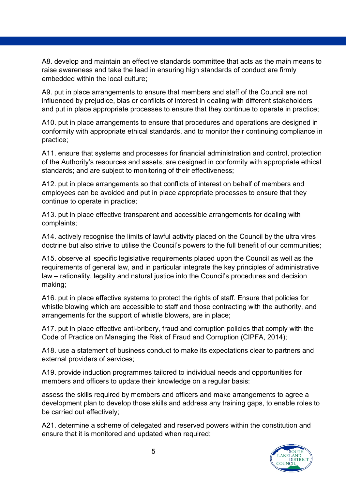A8. develop and maintain an effective standards committee that acts as the main means to raise awareness and take the lead in ensuring high standards of conduct are firmly embedded within the local culture;

A9. put in place arrangements to ensure that members and staff of the Council are not influenced by prejudice, bias or conflicts of interest in dealing with different stakeholders and put in place appropriate processes to ensure that they continue to operate in practice;

A10. put in place arrangements to ensure that procedures and operations are designed in conformity with appropriate ethical standards, and to monitor their continuing compliance in practice;

A11. ensure that systems and processes for financial administration and control, protection of the Authority's resources and assets, are designed in conformity with appropriate ethical standards; and are subject to monitoring of their effectiveness;

A12. put in place arrangements so that conflicts of interest on behalf of members and employees can be avoided and put in place appropriate processes to ensure that they continue to operate in practice;

A13. put in place effective transparent and accessible arrangements for dealing with complaints;

A14. actively recognise the limits of lawful activity placed on the Council by the ultra vires doctrine but also strive to utilise the Council's powers to the full benefit of our communities;

A15. observe all specific legislative requirements placed upon the Council as well as the requirements of general law, and in particular integrate the key principles of administrative law – rationality, legality and natural justice into the Council's procedures and decision making;

A16. put in place effective systems to protect the rights of staff. Ensure that policies for whistle blowing which are accessible to staff and those contracting with the authority, and arrangements for the support of whistle blowers, are in place;

A17. put in place effective anti-bribery, fraud and corruption policies that comply with the Code of Practice on Managing the Risk of Fraud and Corruption (CIPFA, 2014);

A18. use a statement of business conduct to make its expectations clear to partners and external providers of services;

A19. provide induction programmes tailored to individual needs and opportunities for members and officers to update their knowledge on a regular basis:

assess the skills required by members and officers and make arrangements to agree a development plan to develop those skills and address any training gaps, to enable roles to be carried out effectively;

A21. determine a scheme of delegated and reserved powers within the constitution and ensure that it is monitored and updated when required;

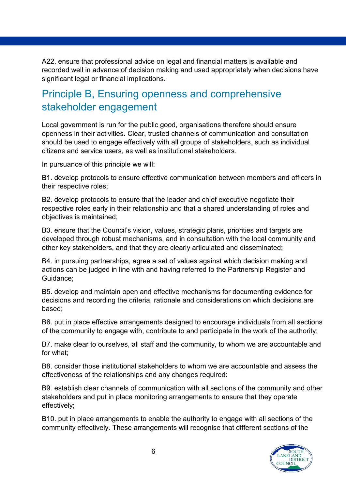A22. ensure that professional advice on legal and financial matters is available and recorded well in advance of decision making and used appropriately when decisions have significant legal or financial implications.

## <span id="page-5-0"></span>Principle B, Ensuring openness and comprehensive stakeholder engagement

Local government is run for the public good, organisations therefore should ensure openness in their activities. Clear, trusted channels of communication and consultation should be used to engage effectively with all groups of stakeholders, such as individual citizens and service users, as well as institutional stakeholders.

In pursuance of this principle we will:

B1. develop protocols to ensure effective communication between members and officers in their respective roles;

B2. develop protocols to ensure that the leader and chief executive negotiate their respective roles early in their relationship and that a shared understanding of roles and objectives is maintained;

B3. ensure that the Council's vision, values, strategic plans, priorities and targets are developed through robust mechanisms, and in consultation with the local community and other key stakeholders, and that they are clearly articulated and disseminated;

B4. in pursuing partnerships, agree a set of values against which decision making and actions can be judged in line with and having referred to the Partnership Register and Guidance;

B5. develop and maintain open and effective mechanisms for documenting evidence for decisions and recording the criteria, rationale and considerations on which decisions are based;

B6. put in place effective arrangements designed to encourage individuals from all sections of the community to engage with, contribute to and participate in the work of the authority;

B7. make clear to ourselves, all staff and the community, to whom we are accountable and for what;

B8. consider those institutional stakeholders to whom we are accountable and assess the effectiveness of the relationships and any changes required:

B9. establish clear channels of communication with all sections of the community and other stakeholders and put in place monitoring arrangements to ensure that they operate effectively;

B10. put in place arrangements to enable the authority to engage with all sections of the community effectively. These arrangements will recognise that different sections of the

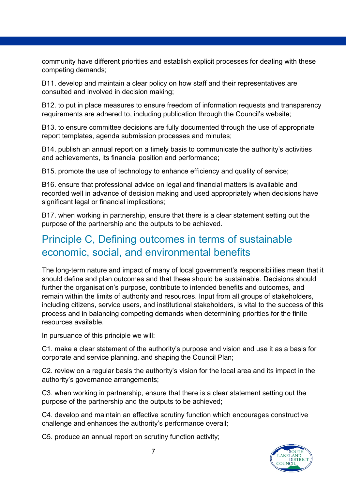community have different priorities and establish explicit processes for dealing with these competing demands;

B11. develop and maintain a clear policy on how staff and their representatives are consulted and involved in decision making;

B12. to put in place measures to ensure freedom of information requests and transparency requirements are adhered to, including publication through the Council's website;

B13. to ensure committee decisions are fully documented through the use of appropriate report templates, agenda submission processes and minutes;

B14. publish an annual report on a timely basis to communicate the authority's activities and achievements, its financial position and performance;

B15. promote the use of technology to enhance efficiency and quality of service;

B16. ensure that professional advice on legal and financial matters is available and recorded well in advance of decision making and used appropriately when decisions have significant legal or financial implications;

B17. when working in partnership, ensure that there is a clear statement setting out the purpose of the partnership and the outputs to be achieved.

#### <span id="page-6-0"></span>Principle C, Defining outcomes in terms of sustainable economic, social, and environmental benefits

The long-term nature and impact of many of local government's responsibilities mean that it should define and plan outcomes and that these should be sustainable. Decisions should further the organisation's purpose, contribute to intended benefits and outcomes, and remain within the limits of authority and resources. Input from all groups of stakeholders, including citizens, service users, and institutional stakeholders, is vital to the success of this process and in balancing competing demands when determining priorities for the finite resources available.

In pursuance of this principle we will:

C1. make a clear statement of the authority's purpose and vision and use it as a basis for corporate and service planning. and shaping the Council Plan;

C2. review on a regular basis the authority's vision for the local area and its impact in the authority's governance arrangements;

C3. when working in partnership, ensure that there is a clear statement setting out the purpose of the partnership and the outputs to be achieved;

C4. develop and maintain an effective scrutiny function which encourages constructive challenge and enhances the authority's performance overall;

C5. produce an annual report on scrutiny function activity;

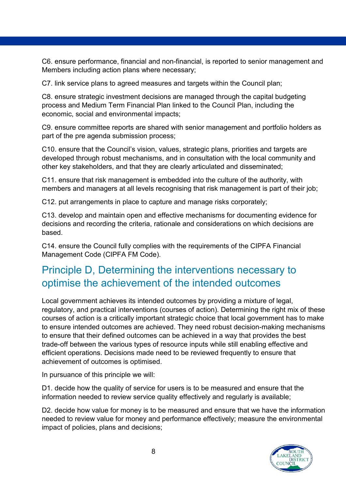C6. ensure performance, financial and non-financial, is reported to senior management and Members including action plans where necessary;

C7. link service plans to agreed measures and targets within the Council plan;

C8. ensure strategic investment decisions are managed through the capital budgeting process and Medium Term Financial Plan linked to the Council Plan, including the economic, social and environmental impacts;

C9. ensure committee reports are shared with senior management and portfolio holders as part of the pre agenda submission process;

C10. ensure that the Council's vision, values, strategic plans, priorities and targets are developed through robust mechanisms, and in consultation with the local community and other key stakeholders, and that they are clearly articulated and disseminated;

C11. ensure that risk management is embedded into the culture of the authority, with members and managers at all levels recognising that risk management is part of their job;

C12. put arrangements in place to capture and manage risks corporately;

C13. develop and maintain open and effective mechanisms for documenting evidence for decisions and recording the criteria, rationale and considerations on which decisions are based.

C14. ensure the Council fully complies with the requirements of the CIPFA Financial Management Code (CIPFA FM Code).

## <span id="page-7-0"></span>Principle D, Determining the interventions necessary to optimise the achievement of the intended outcomes

Local government achieves its intended outcomes by providing a mixture of legal, regulatory, and practical interventions (courses of action). Determining the right mix of these courses of action is a critically important strategic choice that local government has to make to ensure intended outcomes are achieved. They need robust decision-making mechanisms to ensure that their defined outcomes can be achieved in a way that provides the best trade-off between the various types of resource inputs while still enabling effective and efficient operations. Decisions made need to be reviewed frequently to ensure that achievement of outcomes is optimised.

In pursuance of this principle we will:

D1. decide how the quality of service for users is to be measured and ensure that the information needed to review service quality effectively and regularly is available;

D2. decide how value for money is to be measured and ensure that we have the information needed to review value for money and performance effectively; measure the environmental impact of policies, plans and decisions;

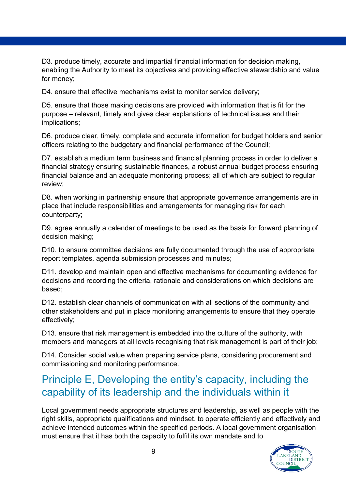D3. produce timely, accurate and impartial financial information for decision making, enabling the Authority to meet its objectives and providing effective stewardship and value for money;

D4. ensure that effective mechanisms exist to monitor service delivery;

D5. ensure that those making decisions are provided with information that is fit for the purpose – relevant, timely and gives clear explanations of technical issues and their implications;

D6. produce clear, timely, complete and accurate information for budget holders and senior officers relating to the budgetary and financial performance of the Council;

D7. establish a medium term business and financial planning process in order to deliver a financial strategy ensuring sustainable finances, a robust annual budget process ensuring financial balance and an adequate monitoring process; all of which are subject to regular review;

D8. when working in partnership ensure that appropriate governance arrangements are in place that include responsibilities and arrangements for managing risk for each counterparty;

D9. agree annually a calendar of meetings to be used as the basis for forward planning of decision making;

D10. to ensure committee decisions are fully documented through the use of appropriate report templates, agenda submission processes and minutes;

D11. develop and maintain open and effective mechanisms for documenting evidence for decisions and recording the criteria, rationale and considerations on which decisions are based;

D12. establish clear channels of communication with all sections of the community and other stakeholders and put in place monitoring arrangements to ensure that they operate effectively;

D13. ensure that risk management is embedded into the culture of the authority, with members and managers at all levels recognising that risk management is part of their job;

D14. Consider social value when preparing service plans, considering procurement and commissioning and monitoring performance.

# <span id="page-8-0"></span>Principle E, Developing the entity's capacity, including the capability of its leadership and the individuals within it

Local government needs appropriate structures and leadership, as well as people with the right skills, appropriate qualifications and mindset, to operate efficiently and effectively and achieve intended outcomes within the specified periods. A local government organisation must ensure that it has both the capacity to fulfil its own mandate and to

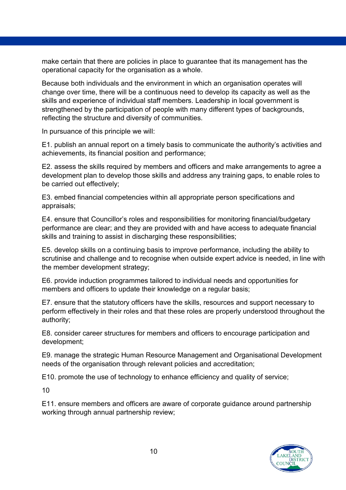make certain that there are policies in place to guarantee that its management has the operational capacity for the organisation as a whole.

Because both individuals and the environment in which an organisation operates will change over time, there will be a continuous need to develop its capacity as well as the skills and experience of individual staff members. Leadership in local government is strengthened by the participation of people with many different types of backgrounds, reflecting the structure and diversity of communities.

In pursuance of this principle we will:

E1. publish an annual report on a timely basis to communicate the authority's activities and achievements, its financial position and performance;

E2. assess the skills required by members and officers and make arrangements to agree a development plan to develop those skills and address any training gaps, to enable roles to be carried out effectively;

E3. embed financial competencies within all appropriate person specifications and appraisals;

E4. ensure that Councillor's roles and responsibilities for monitoring financial/budgetary performance are clear; and they are provided with and have access to adequate financial skills and training to assist in discharging these responsibilities;

E5. develop skills on a continuing basis to improve performance, including the ability to scrutinise and challenge and to recognise when outside expert advice is needed, in line with the member development strategy;

E6. provide induction programmes tailored to individual needs and opportunities for members and officers to update their knowledge on a regular basis;

E7. ensure that the statutory officers have the skills, resources and support necessary to perform effectively in their roles and that these roles are properly understood throughout the authority;

E8. consider career structures for members and officers to encourage participation and development;

E9. manage the strategic Human Resource Management and Organisational Development needs of the organisation through relevant policies and accreditation;

E10. promote the use of technology to enhance efficiency and quality of service;

10

E11. ensure members and officers are aware of corporate guidance around partnership working through annual partnership review;

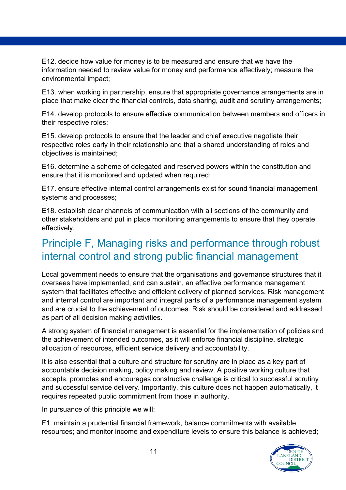E12. decide how value for money is to be measured and ensure that we have the information needed to review value for money and performance effectively; measure the environmental impact;

E13. when working in partnership, ensure that appropriate governance arrangements are in place that make clear the financial controls, data sharing, audit and scrutiny arrangements;

E14. develop protocols to ensure effective communication between members and officers in their respective roles;

E15. develop protocols to ensure that the leader and chief executive negotiate their respective roles early in their relationship and that a shared understanding of roles and objectives is maintained;

E16. determine a scheme of delegated and reserved powers within the constitution and ensure that it is monitored and updated when required;

E17. ensure effective internal control arrangements exist for sound financial management systems and processes;

E18. establish clear channels of communication with all sections of the community and other stakeholders and put in place monitoring arrangements to ensure that they operate effectively.

#### <span id="page-10-0"></span>Principle F, Managing risks and performance through robust internal control and strong public financial management

Local government needs to ensure that the organisations and governance structures that it oversees have implemented, and can sustain, an effective performance management system that facilitates effective and efficient delivery of planned services. Risk management and internal control are important and integral parts of a performance management system and are crucial to the achievement of outcomes. Risk should be considered and addressed as part of all decision making activities.

A strong system of financial management is essential for the implementation of policies and the achievement of intended outcomes, as it will enforce financial discipline, strategic allocation of resources, efficient service delivery and accountability.

It is also essential that a culture and structure for scrutiny are in place as a key part of accountable decision making, policy making and review. A positive working culture that accepts, promotes and encourages constructive challenge is critical to successful scrutiny and successful service delivery. Importantly, this culture does not happen automatically, it requires repeated public commitment from those in authority.

In pursuance of this principle we will:

F1. maintain a prudential financial framework, balance commitments with available resources; and monitor income and expenditure levels to ensure this balance is achieved;

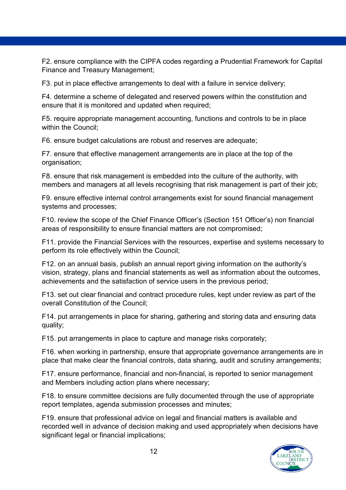F2. ensure compliance with the CIPFA codes regarding a Prudential Framework for Capital Finance and Treasury Management;

F3. put in place effective arrangements to deal with a failure in service delivery;

F4. determine a scheme of delegated and reserved powers within the constitution and ensure that it is monitored and updated when required;

F5. require appropriate management accounting, functions and controls to be in place within the Council;

F6. ensure budget calculations are robust and reserves are adequate;

F7. ensure that effective management arrangements are in place at the top of the organisation;

F8. ensure that risk management is embedded into the culture of the authority, with members and managers at all levels recognising that risk management is part of their job:

F9. ensure effective internal control arrangements exist for sound financial management systems and processes;

F10. review the scope of the Chief Finance Officer's (Section 151 Officer's) non financial areas of responsibility to ensure financial matters are not compromised;

F11. provide the Financial Services with the resources, expertise and systems necessary to perform its role effectively within the Council;

F12. on an annual basis, publish an annual report giving information on the authority's vision, strategy, plans and financial statements as well as information about the outcomes, achievements and the satisfaction of service users in the previous period;

F13. set out clear financial and contract procedure rules, kept under review as part of the overall Constitution of the Council;

F14. put arrangements in place for sharing, gathering and storing data and ensuring data quality;

F15. put arrangements in place to capture and manage risks corporately;

F16. when working in partnership, ensure that appropriate governance arrangements are in place that make clear the financial controls, data sharing, audit and scrutiny arrangements;

F17. ensure performance, financial and non-financial, is reported to senior management and Members including action plans where necessary;

F18. to ensure committee decisions are fully documented through the use of appropriate report templates, agenda submission processes and minutes;

F19. ensure that professional advice on legal and financial matters is available and recorded well in advance of decision making and used appropriately when decisions have significant legal or financial implications;

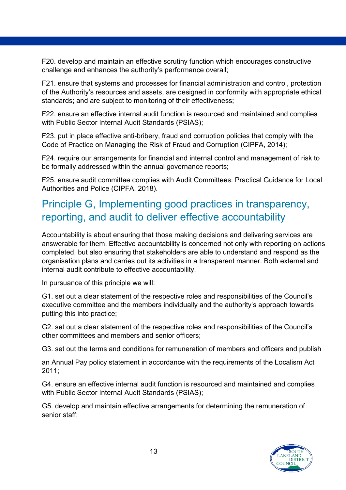F20. develop and maintain an effective scrutiny function which encourages constructive challenge and enhances the authority's performance overall;

F21. ensure that systems and processes for financial administration and control, protection of the Authority's resources and assets, are designed in conformity with appropriate ethical standards; and are subject to monitoring of their effectiveness;

F22. ensure an effective internal audit function is resourced and maintained and complies with Public Sector Internal Audit Standards (PSIAS);

F23. put in place effective anti-bribery, fraud and corruption policies that comply with the Code of Practice on Managing the Risk of Fraud and Corruption (CIPFA, 2014);

F24. require our arrangements for financial and internal control and management of risk to be formally addressed within the annual governance reports;

F25. ensure audit committee complies with Audit Committees: Practical Guidance for Local Authorities and Police (CIPFA, 2018).

#### <span id="page-12-0"></span>Principle G, Implementing good practices in transparency, reporting, and audit to deliver effective accountability

Accountability is about ensuring that those making decisions and delivering services are answerable for them. Effective accountability is concerned not only with reporting on actions completed, but also ensuring that stakeholders are able to understand and respond as the organisation plans and carries out its activities in a transparent manner. Both external and internal audit contribute to effective accountability.

In pursuance of this principle we will:

G1. set out a clear statement of the respective roles and responsibilities of the Council's executive committee and the members individually and the authority's approach towards putting this into practice;

G2. set out a clear statement of the respective roles and responsibilities of the Council's other committees and members and senior officers;

G3. set out the terms and conditions for remuneration of members and officers and publish

an Annual Pay policy statement in accordance with the requirements of the Localism Act 2011;

G4. ensure an effective internal audit function is resourced and maintained and complies with Public Sector Internal Audit Standards (PSIAS);

G5. develop and maintain effective arrangements for determining the remuneration of senior staff;

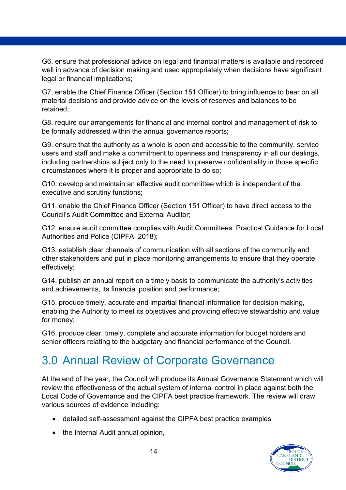G6. ensure that professional advice on legal and financial matters is available and recorded well in advance of decision making and used appropriately when decisions have significant legal or financial implications;

G7. enable the Chief Finance Officer (Section 151 Officer) to bring influence to bear on all material decisions and provide advice on the levels of reserves and balances to be retained;

G8. require our arrangements for financial and internal control and management of risk to be formally addressed within the annual governance reports;

G9. ensure that the authority as a whole is open and accessible to the community, service users and staff and make a commitment to openness and transparency in all our dealings, including partnerships subject only to the need to preserve confidentiality in those specific circumstances where it is proper and appropriate to do so;

G10. develop and maintain an effective audit committee which is independent of the executive and scrutiny functions;

G11. enable the Chief Finance Officer (Section 151 Officer) to have direct access to the Council's Audit Committee and External Auditor;

G12. ensure audit committee complies with Audit Committees: Practical Guidance for Local Authorities and Police (CIPFA, 2018);

G13. establish clear channels of communication with all sections of the community and other stakeholders and put in place monitoring arrangements to ensure that they operate effectively;

G14. publish an annual report on a timely basis to communicate the authority's activities and achievements, its financial position and performance;

G15. produce timely, accurate and impartial financial information for decision making, enabling the Authority to meet its objectives and providing effective stewardship and value for money;

G16. produce clear, timely, complete and accurate information for budget holders and senior officers relating to the budgetary and financial performance of the Council.

# <span id="page-13-0"></span>3.0 Annual Review of Corporate Governance

At the end of the year, the Council will produce its Annual Governance Statement which will review the effectiveness of the actual system of internal control in place against both the Local Code of Governance and the CIPFA best practice framework. The review will draw various sources of evidence including:

- detailed self-assessment against the CIPFA best practice examples
- the Internal Audit annual opinion,